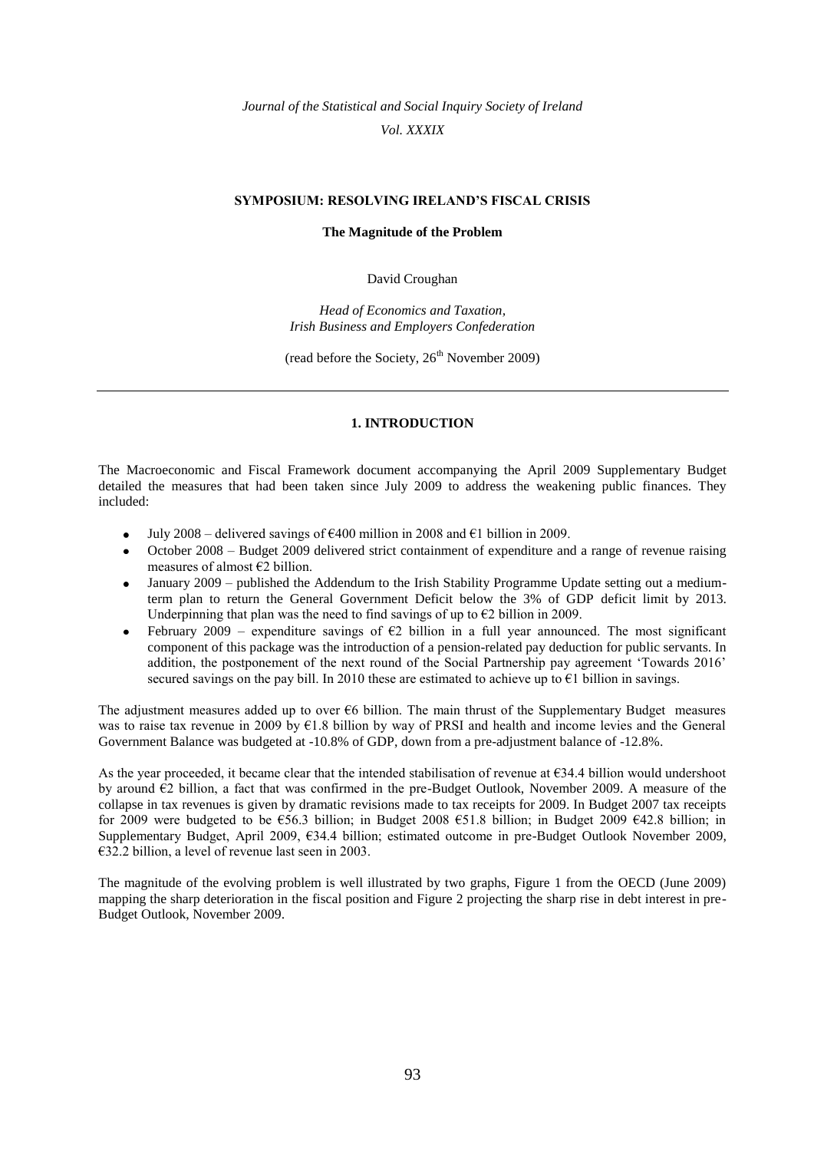*Journal of the Statistical and Social Inquiry Society of Ireland Vol. XXXIX*

### **SYMPOSIUM: RESOLVING IRELAND'S FISCAL CRISIS**

### **The Magnitude of the Problem**

David Croughan

*Head of Economics and Taxation, Irish Business and Employers Confederation*

(read before the Society,  $26<sup>th</sup>$  November 2009)

### **1. INTRODUCTION**

The Macroeconomic and Fiscal Framework document accompanying the April 2009 Supplementary Budget detailed the measures that had been taken since July 2009 to address the weakening public finances. They included:

- July 2008 delivered savings of €400 million in 2008 and €1 billion in 2009.  $\bullet$
- October 2008 Budget 2009 delivered strict containment of expenditure and a range of revenue raising measures of almost €2 billion.
- January 2009 published the Addendum to the Irish Stability Programme Update setting out a mediumterm plan to return the General Government Deficit below the 3% of GDP deficit limit by 2013. Underpinning that plan was the need to find savings of up to  $\epsilon$ 2 billion in 2009.
- February 2009 expenditure savings of  $\epsilon$ 2 billion in a full year announced. The most significant component of this package was the introduction of a pension-related pay deduction for public servants. In addition, the postponement of the next round of the Social Partnership pay agreement "Towards 2016" secured savings on the pay bill. In 2010 these are estimated to achieve up to €1 billion in savings.

The adjustment measures added up to over  $\epsilon$ 6 billion. The main thrust of the Supplementary Budget measures was to raise tax revenue in 2009 by  $E1.8$  billion by way of PRSI and health and income levies and the General Government Balance was budgeted at -10.8% of GDP, down from a pre-adjustment balance of -12.8%.

As the year proceeded, it became clear that the intended stabilisation of revenue at  $\epsilon$ 34.4 billion would undershoot by around  $\epsilon$ 2 billion, a fact that was confirmed in the pre-Budget Outlook, November 2009. A measure of the collapse in tax revenues is given by dramatic revisions made to tax receipts for 2009. In Budget 2007 tax receipts for 2009 were budgeted to be  $\epsilon$ 56.3 billion; in Budget 2008  $\epsilon$ 51.8 billion; in Budget 2009  $\epsilon$ 42.8 billion; in Supplementary Budget, April 2009, €34.4 billion; estimated outcome in pre-Budget Outlook November 2009, €32.2 billion, a level of revenue last seen in 2003.

The magnitude of the evolving problem is well illustrated by two graphs, Figure 1 from the OECD (June 2009) mapping the sharp deterioration in the fiscal position and Figure 2 projecting the sharp rise in debt interest in pre-Budget Outlook, November 2009.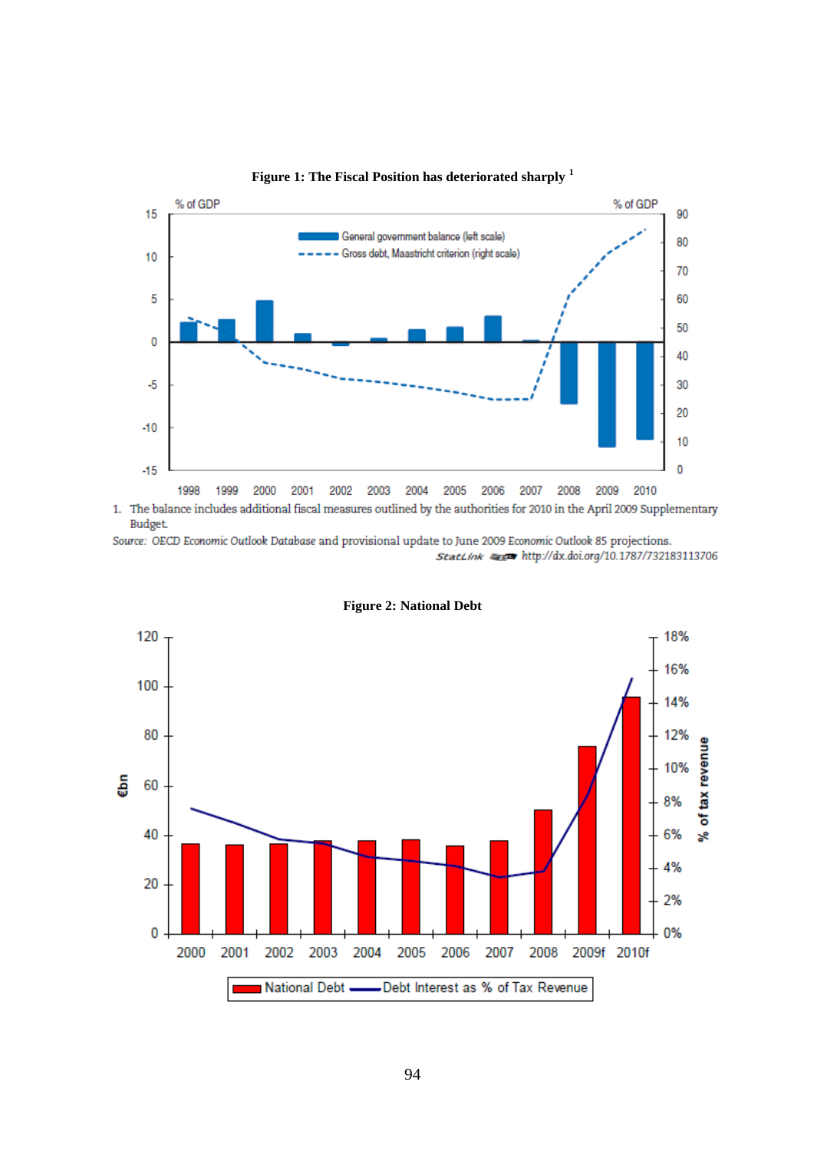

**Figure 1: The Fiscal Position has deteriorated sharply <sup>1</sup>**

1. The balance includes additional fiscal measures outlined by the authorities for 2010 in the April 2009 Supplementary Budget.

Source: OECD Economic Outlook Database and provisional update to June 2009 Economic Outlook 85 projections. StatLink #### http://dx.doi.org/10.1787/732183113706



**Figure 2: National Debt**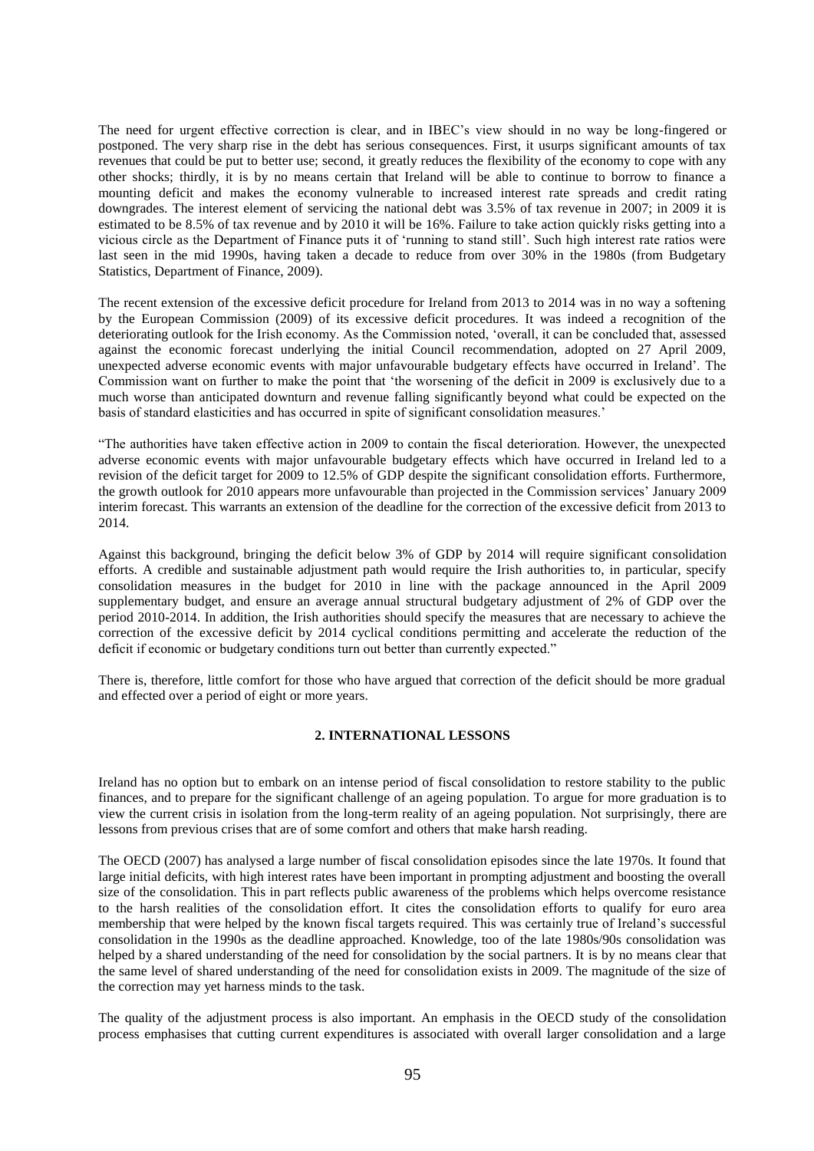The need for urgent effective correction is clear, and in IBEC"s view should in no way be long-fingered or postponed. The very sharp rise in the debt has serious consequences. First, it usurps significant amounts of tax revenues that could be put to better use; second, it greatly reduces the flexibility of the economy to cope with any other shocks; thirdly, it is by no means certain that Ireland will be able to continue to borrow to finance a mounting deficit and makes the economy vulnerable to increased interest rate spreads and credit rating downgrades. The interest element of servicing the national debt was 3.5% of tax revenue in 2007; in 2009 it is estimated to be 8.5% of tax revenue and by 2010 it will be 16%. Failure to take action quickly risks getting into a vicious circle as the Department of Finance puts it of "running to stand still". Such high interest rate ratios were last seen in the mid 1990s, having taken a decade to reduce from over 30% in the 1980s (from Budgetary Statistics, Department of Finance, 2009).

The recent extension of the excessive deficit procedure for Ireland from 2013 to 2014 was in no way a softening by the European Commission (2009) of its excessive deficit procedures. It was indeed a recognition of the deteriorating outlook for the Irish economy. As the Commission noted, "overall, it can be concluded that, assessed against the economic forecast underlying the initial Council recommendation, adopted on 27 April 2009, unexpected adverse economic events with major unfavourable budgetary effects have occurred in Ireland". The Commission want on further to make the point that "the worsening of the deficit in 2009 is exclusively due to a much worse than anticipated downturn and revenue falling significantly beyond what could be expected on the basis of standard elasticities and has occurred in spite of significant consolidation measures."

"The authorities have taken effective action in 2009 to contain the fiscal deterioration. However, the unexpected adverse economic events with major unfavourable budgetary effects which have occurred in Ireland led to a revision of the deficit target for 2009 to 12.5% of GDP despite the significant consolidation efforts. Furthermore, the growth outlook for 2010 appears more unfavourable than projected in the Commission services" January 2009 interim forecast. This warrants an extension of the deadline for the correction of the excessive deficit from 2013 to 2014.

Against this background, bringing the deficit below 3% of GDP by 2014 will require significant consolidation efforts. A credible and sustainable adjustment path would require the Irish authorities to, in particular, specify consolidation measures in the budget for 2010 in line with the package announced in the April 2009 supplementary budget, and ensure an average annual structural budgetary adjustment of 2% of GDP over the period 2010-2014. In addition, the Irish authorities should specify the measures that are necessary to achieve the correction of the excessive deficit by 2014 cyclical conditions permitting and accelerate the reduction of the deficit if economic or budgetary conditions turn out better than currently expected."

There is, therefore, little comfort for those who have argued that correction of the deficit should be more gradual and effected over a period of eight or more years.

### **2. INTERNATIONAL LESSONS**

Ireland has no option but to embark on an intense period of fiscal consolidation to restore stability to the public finances, and to prepare for the significant challenge of an ageing population. To argue for more graduation is to view the current crisis in isolation from the long-term reality of an ageing population. Not surprisingly, there are lessons from previous crises that are of some comfort and others that make harsh reading.

The OECD (2007) has analysed a large number of fiscal consolidation episodes since the late 1970s. It found that large initial deficits, with high interest rates have been important in prompting adjustment and boosting the overall size of the consolidation. This in part reflects public awareness of the problems which helps overcome resistance to the harsh realities of the consolidation effort. It cites the consolidation efforts to qualify for euro area membership that were helped by the known fiscal targets required. This was certainly true of Ireland"s successful consolidation in the 1990s as the deadline approached. Knowledge, too of the late 1980s/90s consolidation was helped by a shared understanding of the need for consolidation by the social partners. It is by no means clear that the same level of shared understanding of the need for consolidation exists in 2009. The magnitude of the size of the correction may yet harness minds to the task.

The quality of the adjustment process is also important. An emphasis in the OECD study of the consolidation process emphasises that cutting current expenditures is associated with overall larger consolidation and a large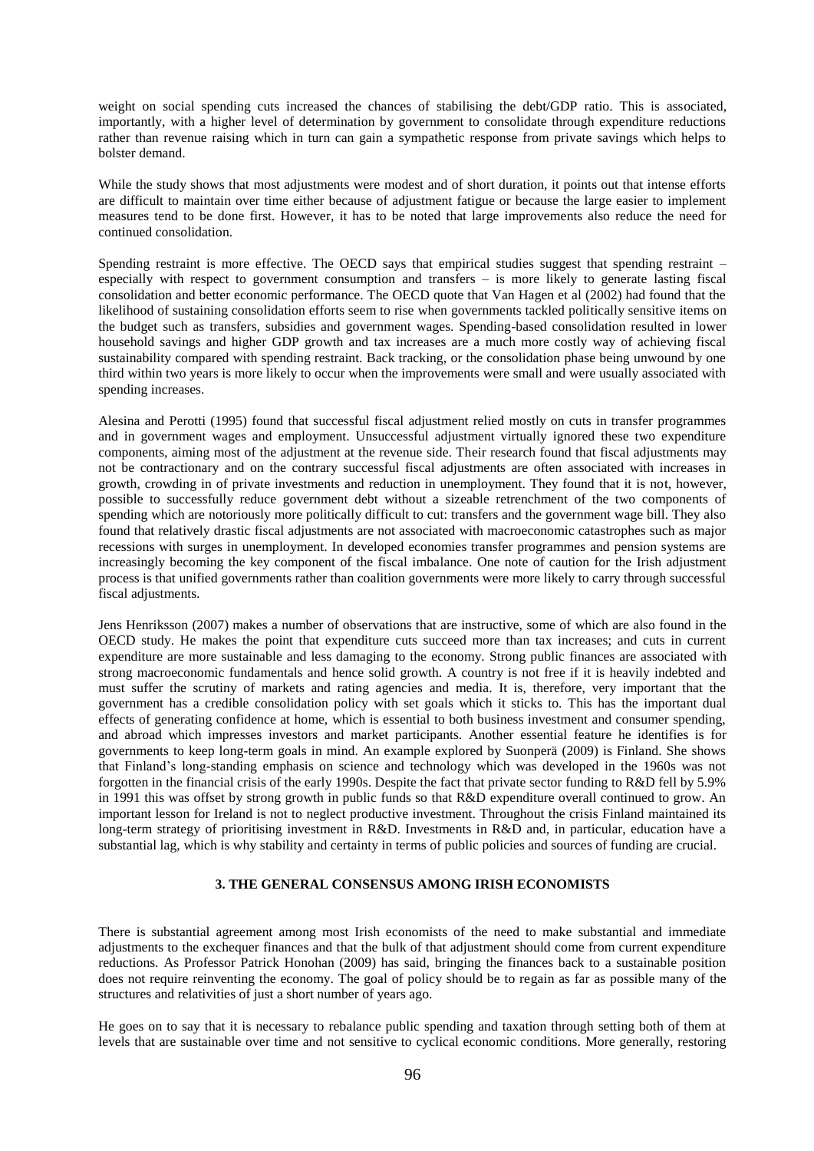weight on social spending cuts increased the chances of stabilising the debt/GDP ratio. This is associated, importantly, with a higher level of determination by government to consolidate through expenditure reductions rather than revenue raising which in turn can gain a sympathetic response from private savings which helps to bolster demand.

While the study shows that most adjustments were modest and of short duration, it points out that intense efforts are difficult to maintain over time either because of adjustment fatigue or because the large easier to implement measures tend to be done first. However, it has to be noted that large improvements also reduce the need for continued consolidation.

Spending restraint is more effective. The OECD says that empirical studies suggest that spending restraint – especially with respect to government consumption and transfers – is more likely to generate lasting fiscal consolidation and better economic performance. The OECD quote that Van Hagen et al (2002) had found that the likelihood of sustaining consolidation efforts seem to rise when governments tackled politically sensitive items on the budget such as transfers, subsidies and government wages. Spending-based consolidation resulted in lower household savings and higher GDP growth and tax increases are a much more costly way of achieving fiscal sustainability compared with spending restraint. Back tracking, or the consolidation phase being unwound by one third within two years is more likely to occur when the improvements were small and were usually associated with spending increases.

Alesina and Perotti (1995) found that successful fiscal adjustment relied mostly on cuts in transfer programmes and in government wages and employment. Unsuccessful adjustment virtually ignored these two expenditure components, aiming most of the adjustment at the revenue side. Their research found that fiscal adjustments may not be contractionary and on the contrary successful fiscal adjustments are often associated with increases in growth, crowding in of private investments and reduction in unemployment. They found that it is not, however, possible to successfully reduce government debt without a sizeable retrenchment of the two components of spending which are notoriously more politically difficult to cut: transfers and the government wage bill. They also found that relatively drastic fiscal adjustments are not associated with macroeconomic catastrophes such as major recessions with surges in unemployment. In developed economies transfer programmes and pension systems are increasingly becoming the key component of the fiscal imbalance. One note of caution for the Irish adjustment process is that unified governments rather than coalition governments were more likely to carry through successful fiscal adjustments.

Jens Henriksson (2007) makes a number of observations that are instructive, some of which are also found in the OECD study. He makes the point that expenditure cuts succeed more than tax increases; and cuts in current expenditure are more sustainable and less damaging to the economy. Strong public finances are associated with strong macroeconomic fundamentals and hence solid growth. A country is not free if it is heavily indebted and must suffer the scrutiny of markets and rating agencies and media. It is, therefore, very important that the government has a credible consolidation policy with set goals which it sticks to. This has the important dual effects of generating confidence at home, which is essential to both business investment and consumer spending, and abroad which impresses investors and market participants. Another essential feature he identifies is for governments to keep long-term goals in mind. An example explored by Suonperä (2009) is Finland. She shows that Finland"s long-standing emphasis on science and technology which was developed in the 1960s was not forgotten in the financial crisis of the early 1990s. Despite the fact that private sector funding to R&D fell by 5.9% in 1991 this was offset by strong growth in public funds so that R&D expenditure overall continued to grow. An important lesson for Ireland is not to neglect productive investment. Throughout the crisis Finland maintained its long-term strategy of prioritising investment in R&D. Investments in R&D and, in particular, education have a substantial lag, which is why stability and certainty in terms of public policies and sources of funding are crucial.

## **3. THE GENERAL CONSENSUS AMONG IRISH ECONOMISTS**

There is substantial agreement among most Irish economists of the need to make substantial and immediate adjustments to the exchequer finances and that the bulk of that adjustment should come from current expenditure reductions. As Professor Patrick Honohan (2009) has said, bringing the finances back to a sustainable position does not require reinventing the economy. The goal of policy should be to regain as far as possible many of the structures and relativities of just a short number of years ago.

He goes on to say that it is necessary to rebalance public spending and taxation through setting both of them at levels that are sustainable over time and not sensitive to cyclical economic conditions. More generally, restoring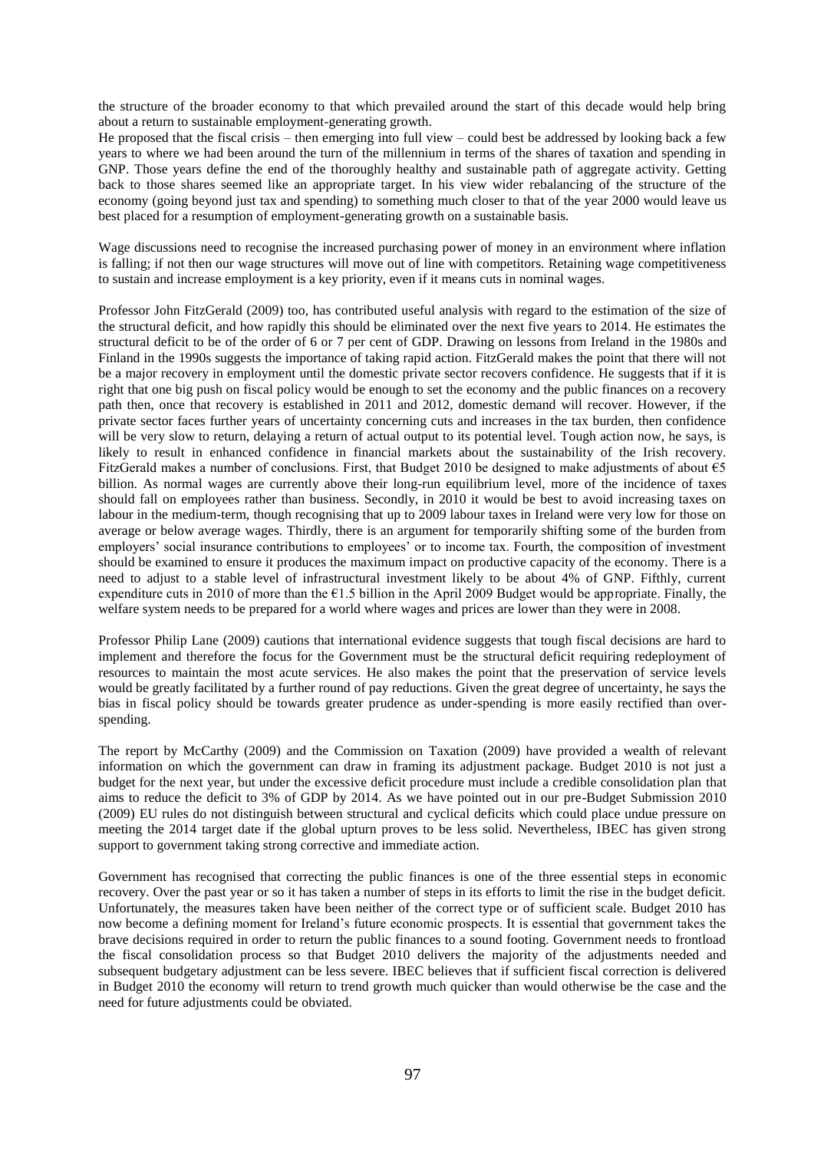the structure of the broader economy to that which prevailed around the start of this decade would help bring about a return to sustainable employment-generating growth.

He proposed that the fiscal crisis – then emerging into full view – could best be addressed by looking back a few years to where we had been around the turn of the millennium in terms of the shares of taxation and spending in GNP. Those years define the end of the thoroughly healthy and sustainable path of aggregate activity. Getting back to those shares seemed like an appropriate target. In his view wider rebalancing of the structure of the economy (going beyond just tax and spending) to something much closer to that of the year 2000 would leave us best placed for a resumption of employment-generating growth on a sustainable basis.

Wage discussions need to recognise the increased purchasing power of money in an environment where inflation is falling; if not then our wage structures will move out of line with competitors. Retaining wage competitiveness to sustain and increase employment is a key priority, even if it means cuts in nominal wages.

Professor John FitzGerald (2009) too, has contributed useful analysis with regard to the estimation of the size of the structural deficit, and how rapidly this should be eliminated over the next five years to 2014. He estimates the structural deficit to be of the order of 6 or 7 per cent of GDP. Drawing on lessons from Ireland in the 1980s and Finland in the 1990s suggests the importance of taking rapid action. FitzGerald makes the point that there will not be a major recovery in employment until the domestic private sector recovers confidence. He suggests that if it is right that one big push on fiscal policy would be enough to set the economy and the public finances on a recovery path then, once that recovery is established in 2011 and 2012, domestic demand will recover. However, if the private sector faces further years of uncertainty concerning cuts and increases in the tax burden, then confidence will be very slow to return, delaying a return of actual output to its potential level. Tough action now, he says, is likely to result in enhanced confidence in financial markets about the sustainability of the Irish recovery. FitzGerald makes a number of conclusions. First, that Budget 2010 be designed to make adjustments of about €5 billion. As normal wages are currently above their long-run equilibrium level, more of the incidence of taxes should fall on employees rather than business. Secondly, in 2010 it would be best to avoid increasing taxes on labour in the medium-term, though recognising that up to 2009 labour taxes in Ireland were very low for those on average or below average wages. Thirdly, there is an argument for temporarily shifting some of the burden from employers" social insurance contributions to employees" or to income tax. Fourth, the composition of investment should be examined to ensure it produces the maximum impact on productive capacity of the economy. There is a need to adjust to a stable level of infrastructural investment likely to be about 4% of GNP. Fifthly, current expenditure cuts in 2010 of more than the  $\epsilon$ 1.5 billion in the April 2009 Budget would be appropriate. Finally, the welfare system needs to be prepared for a world where wages and prices are lower than they were in 2008.

Professor Philip Lane (2009) cautions that international evidence suggests that tough fiscal decisions are hard to implement and therefore the focus for the Government must be the structural deficit requiring redeployment of resources to maintain the most acute services. He also makes the point that the preservation of service levels would be greatly facilitated by a further round of pay reductions. Given the great degree of uncertainty, he says the bias in fiscal policy should be towards greater prudence as under-spending is more easily rectified than overspending.

The report by McCarthy (2009) and the Commission on Taxation (2009) have provided a wealth of relevant information on which the government can draw in framing its adjustment package. Budget 2010 is not just a budget for the next year, but under the excessive deficit procedure must include a credible consolidation plan that aims to reduce the deficit to 3% of GDP by 2014. As we have pointed out in our pre-Budget Submission 2010 (2009) EU rules do not distinguish between structural and cyclical deficits which could place undue pressure on meeting the 2014 target date if the global upturn proves to be less solid. Nevertheless, IBEC has given strong support to government taking strong corrective and immediate action.

Government has recognised that correcting the public finances is one of the three essential steps in economic recovery. Over the past year or so it has taken a number of steps in its efforts to limit the rise in the budget deficit. Unfortunately, the measures taken have been neither of the correct type or of sufficient scale. Budget 2010 has now become a defining moment for Ireland"s future economic prospects. It is essential that government takes the brave decisions required in order to return the public finances to a sound footing. Government needs to frontload the fiscal consolidation process so that Budget 2010 delivers the majority of the adjustments needed and subsequent budgetary adjustment can be less severe. IBEC believes that if sufficient fiscal correction is delivered in Budget 2010 the economy will return to trend growth much quicker than would otherwise be the case and the need for future adjustments could be obviated.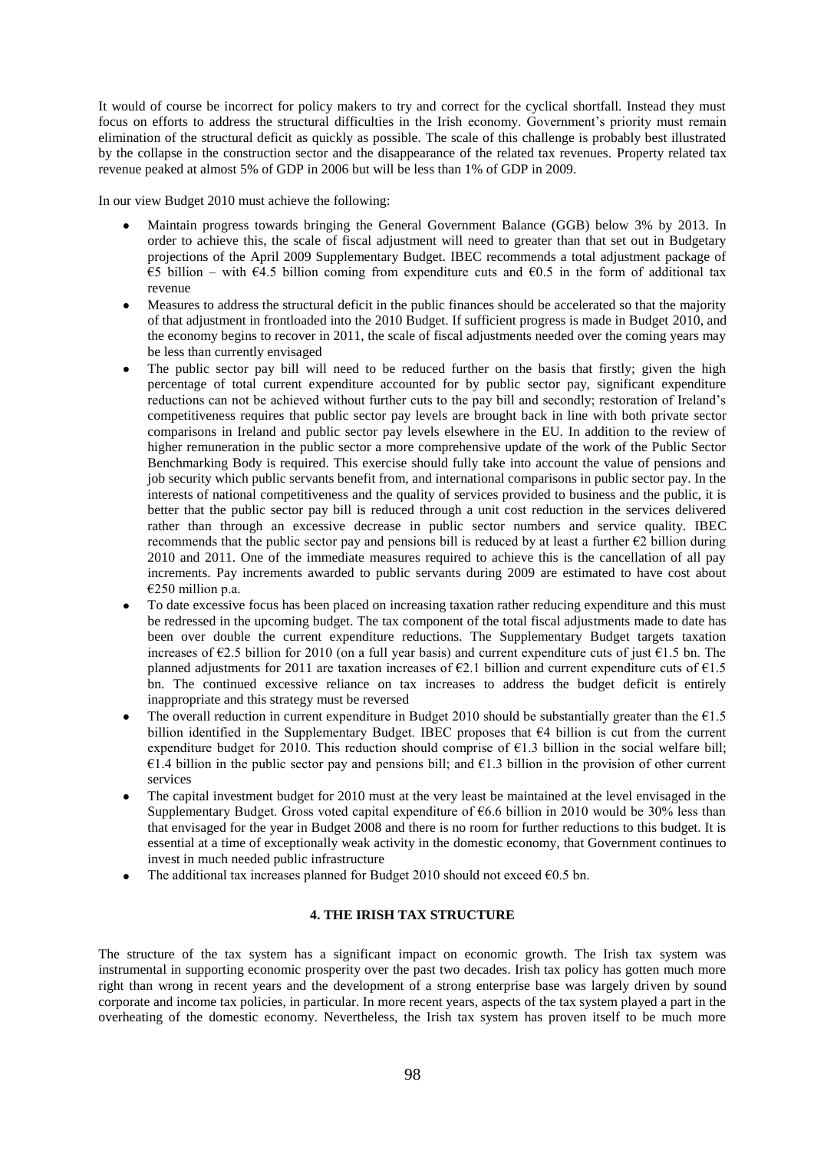It would of course be incorrect for policy makers to try and correct for the cyclical shortfall. Instead they must focus on efforts to address the structural difficulties in the Irish economy. Government's priority must remain elimination of the structural deficit as quickly as possible. The scale of this challenge is probably best illustrated by the collapse in the construction sector and the disappearance of the related tax revenues. Property related tax revenue peaked at almost 5% of GDP in 2006 but will be less than 1% of GDP in 2009.

In our view Budget 2010 must achieve the following:

- Maintain progress towards bringing the General Government Balance (GGB) below 3% by 2013. In order to achieve this, the scale of fiscal adjustment will need to greater than that set out in Budgetary projections of the April 2009 Supplementary Budget. IBEC recommends a total adjustment package of  $€5$  billion – with  $€4.5$  billion coming from expenditure cuts and  $€0.5$  in the form of additional tax revenue
- Measures to address the structural deficit in the public finances should be accelerated so that the majority of that adjustment in frontloaded into the 2010 Budget. If sufficient progress is made in Budget 2010, and the economy begins to recover in 2011, the scale of fiscal adjustments needed over the coming years may be less than currently envisaged
- The public sector pay bill will need to be reduced further on the basis that firstly; given the high percentage of total current expenditure accounted for by public sector pay, significant expenditure reductions can not be achieved without further cuts to the pay bill and secondly; restoration of Ireland"s competitiveness requires that public sector pay levels are brought back in line with both private sector comparisons in Ireland and public sector pay levels elsewhere in the EU. In addition to the review of higher remuneration in the public sector a more comprehensive update of the work of the Public Sector Benchmarking Body is required. This exercise should fully take into account the value of pensions and job security which public servants benefit from, and international comparisons in public sector pay. In the interests of national competitiveness and the quality of services provided to business and the public, it is better that the public sector pay bill is reduced through a unit cost reduction in the services delivered rather than through an excessive decrease in public sector numbers and service quality. IBEC recommends that the public sector pay and pensions bill is reduced by at least a further  $\epsilon$ 2 billion during 2010 and 2011. One of the immediate measures required to achieve this is the cancellation of all pay increments. Pay increments awarded to public servants during 2009 are estimated to have cost about €250 million p.a.
- To date excessive focus has been placed on increasing taxation rather reducing expenditure and this must be redressed in the upcoming budget. The tax component of the total fiscal adjustments made to date has been over double the current expenditure reductions. The Supplementary Budget targets taxation increases of  $\epsilon$ 2.5 billion for 2010 (on a full year basis) and current expenditure cuts of just  $\epsilon$ 1.5 bn. The planned adjustments for 2011 are taxation increases of  $\epsilon$ 2.1 billion and current expenditure cuts of  $\epsilon$ 1.5 bn. The continued excessive reliance on tax increases to address the budget deficit is entirely inappropriate and this strategy must be reversed
- The overall reduction in current expenditure in Budget 2010 should be substantially greater than the  $E1.5$ billion identified in the Supplementary Budget. IBEC proposes that  $64$  billion is cut from the current expenditure budget for 2010. This reduction should comprise of  $\epsilon$ 1.3 billion in the social welfare bill; €1.4 billion in the public sector pay and pensions bill; and  $€1.3$  billion in the provision of other current services
- The capital investment budget for 2010 must at the very least be maintained at the level envisaged in the Supplementary Budget. Gross voted capital expenditure of  $66.6$  billion in 2010 would be 30% less than that envisaged for the year in Budget 2008 and there is no room for further reductions to this budget. It is essential at a time of exceptionally weak activity in the domestic economy, that Government continues to invest in much needed public infrastructure
- The additional tax increases planned for Budget 2010 should not exceed  $\epsilon$ 0.5 bn.

## **4. THE IRISH TAX STRUCTURE**

The structure of the tax system has a significant impact on economic growth. The Irish tax system was instrumental in supporting economic prosperity over the past two decades. Irish tax policy has gotten much more right than wrong in recent years and the development of a strong enterprise base was largely driven by sound corporate and income tax policies, in particular. In more recent years, aspects of the tax system played a part in the overheating of the domestic economy. Nevertheless, the Irish tax system has proven itself to be much more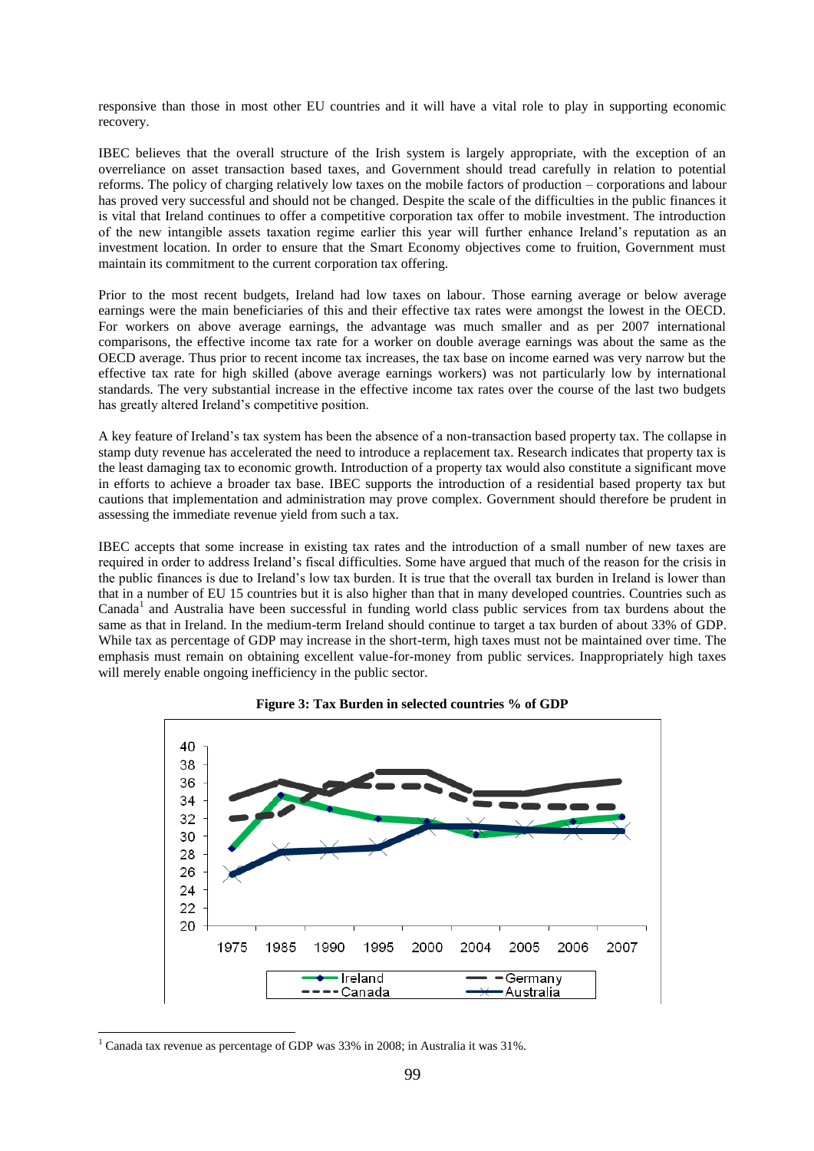responsive than those in most other EU countries and it will have a vital role to play in supporting economic recovery.

IBEC believes that the overall structure of the Irish system is largely appropriate, with the exception of an overreliance on asset transaction based taxes, and Government should tread carefully in relation to potential reforms. The policy of charging relatively low taxes on the mobile factors of production – corporations and labour has proved very successful and should not be changed. Despite the scale of the difficulties in the public finances it is vital that Ireland continues to offer a competitive corporation tax offer to mobile investment. The introduction of the new intangible assets taxation regime earlier this year will further enhance Ireland"s reputation as an investment location. In order to ensure that the Smart Economy objectives come to fruition, Government must maintain its commitment to the current corporation tax offering.

Prior to the most recent budgets, Ireland had low taxes on labour. Those earning average or below average earnings were the main beneficiaries of this and their effective tax rates were amongst the lowest in the OECD. For workers on above average earnings, the advantage was much smaller and as per 2007 international comparisons, the effective income tax rate for a worker on double average earnings was about the same as the OECD average. Thus prior to recent income tax increases, the tax base on income earned was very narrow but the effective tax rate for high skilled (above average earnings workers) was not particularly low by international standards. The very substantial increase in the effective income tax rates over the course of the last two budgets has greatly altered Ireland"s competitive position.

A key feature of Ireland"s tax system has been the absence of a non-transaction based property tax. The collapse in stamp duty revenue has accelerated the need to introduce a replacement tax. Research indicates that property tax is the least damaging tax to economic growth. Introduction of a property tax would also constitute a significant move in efforts to achieve a broader tax base. IBEC supports the introduction of a residential based property tax but cautions that implementation and administration may prove complex. Government should therefore be prudent in assessing the immediate revenue yield from such a tax.

IBEC accepts that some increase in existing tax rates and the introduction of a small number of new taxes are required in order to address Ireland"s fiscal difficulties. Some have argued that much of the reason for the crisis in the public finances is due to Ireland"s low tax burden. It is true that the overall tax burden in Ireland is lower than that in a number of EU 15 countries but it is also higher than that in many developed countries. Countries such as Canada<sup>1</sup> and Australia have been successful in funding world class public services from tax burdens about the same as that in Ireland. In the medium-term Ireland should continue to target a tax burden of about 33% of GDP. While tax as percentage of GDP may increase in the short-term, high taxes must not be maintained over time. The emphasis must remain on obtaining excellent value-for-money from public services. Inappropriately high taxes will merely enable ongoing inefficiency in the public sector.





-

 $1$  Canada tax revenue as percentage of GDP was 33% in 2008; in Australia it was 31%.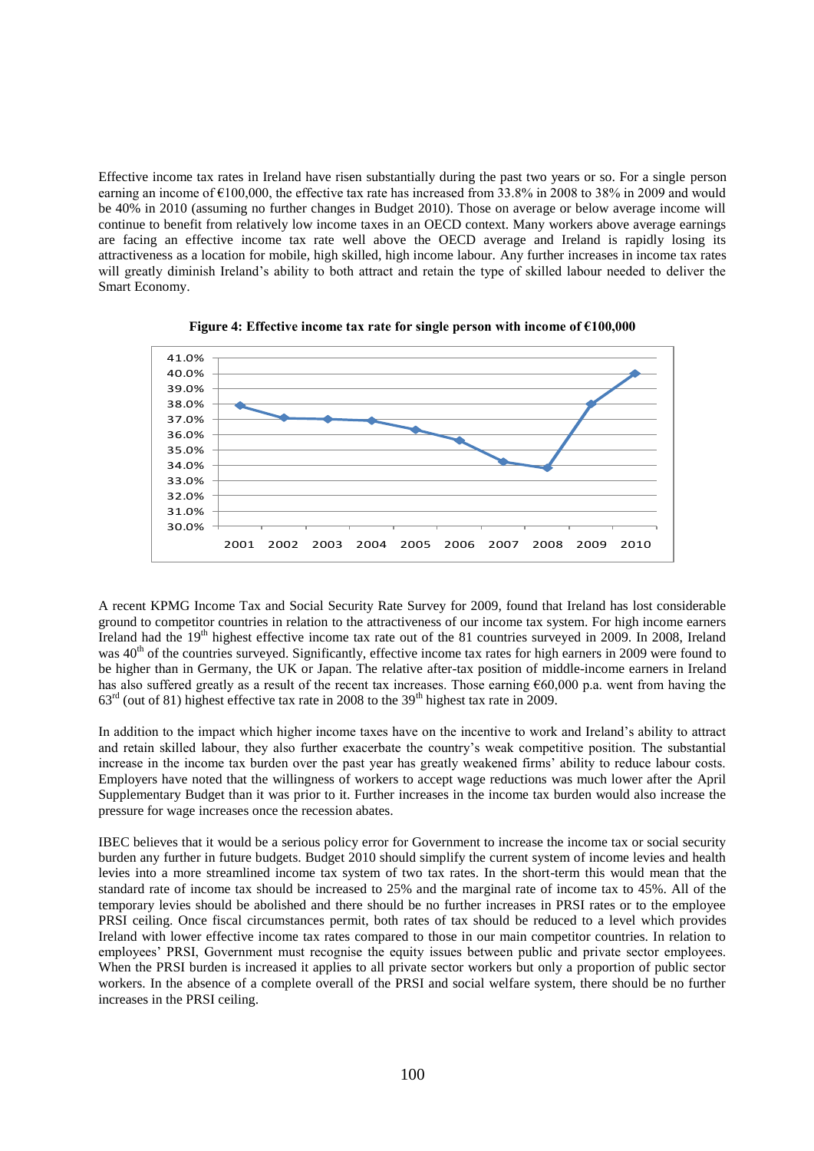Effective income tax rates in Ireland have risen substantially during the past two years or so. For a single person earning an income of  $\epsilon$ 100,000, the effective tax rate has increased from 33.8% in 2008 to 38% in 2009 and would be 40% in 2010 (assuming no further changes in Budget 2010). Those on average or below average income will continue to benefit from relatively low income taxes in an OECD context. Many workers above average earnings are facing an effective income tax rate well above the OECD average and Ireland is rapidly losing its attractiveness as a location for mobile, high skilled, high income labour. Any further increases in income tax rates will greatly diminish Ireland"s ability to both attract and retain the type of skilled labour needed to deliver the Smart Economy.



**Figure 4: Effective income tax rate for single person with income of €100,000**

A recent KPMG Income Tax and Social Security Rate Survey for 2009, found that Ireland has lost considerable ground to competitor countries in relation to the attractiveness of our income tax system. For high income earners Ireland had the 19th highest effective income tax rate out of the 81 countries surveyed in 2009. In 2008, Ireland was 40<sup>th</sup> of the countries surveyed. Significantly, effective income tax rates for high earners in 2009 were found to be higher than in Germany, the UK or Japan. The relative after-tax position of middle-income earners in Ireland has also suffered greatly as a result of the recent tax increases. Those earning €60,000 p.a. went from having the  $63<sup>rd</sup>$  (out of 81) highest effective tax rate in 2008 to the 39<sup>th</sup> highest tax rate in 2009.

In addition to the impact which higher income taxes have on the incentive to work and Ireland"s ability to attract and retain skilled labour, they also further exacerbate the country"s weak competitive position. The substantial increase in the income tax burden over the past year has greatly weakened firms" ability to reduce labour costs. Employers have noted that the willingness of workers to accept wage reductions was much lower after the April Supplementary Budget than it was prior to it. Further increases in the income tax burden would also increase the pressure for wage increases once the recession abates.

IBEC believes that it would be a serious policy error for Government to increase the income tax or social security burden any further in future budgets. Budget 2010 should simplify the current system of income levies and health levies into a more streamlined income tax system of two tax rates. In the short-term this would mean that the standard rate of income tax should be increased to 25% and the marginal rate of income tax to 45%. All of the temporary levies should be abolished and there should be no further increases in PRSI rates or to the employee PRSI ceiling. Once fiscal circumstances permit, both rates of tax should be reduced to a level which provides Ireland with lower effective income tax rates compared to those in our main competitor countries. In relation to employees' PRSI, Government must recognise the equity issues between public and private sector employees. When the PRSI burden is increased it applies to all private sector workers but only a proportion of public sector workers. In the absence of a complete overall of the PRSI and social welfare system, there should be no further increases in the PRSI ceiling.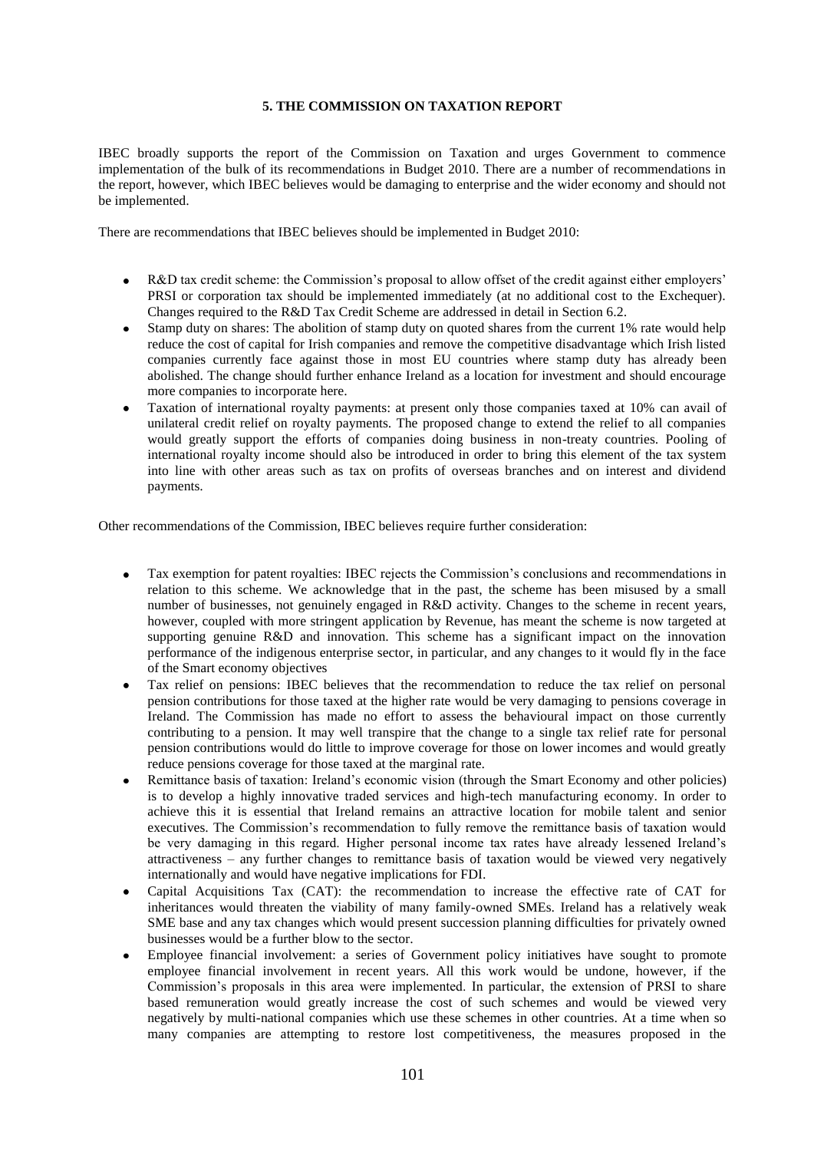## **5. THE COMMISSION ON TAXATION REPORT**

IBEC broadly supports the report of the Commission on Taxation and urges Government to commence implementation of the bulk of its recommendations in Budget 2010. There are a number of recommendations in the report, however, which IBEC believes would be damaging to enterprise and the wider economy and should not be implemented.

There are recommendations that IBEC believes should be implemented in Budget 2010:

- R&D tax credit scheme: the Commission's proposal to allow offset of the credit against either employers' PRSI or corporation tax should be implemented immediately (at no additional cost to the Exchequer). Changes required to the R&D Tax Credit Scheme are addressed in detail in Section 6.2.
- $\blacksquare$ Stamp duty on shares: The abolition of stamp duty on quoted shares from the current 1% rate would help reduce the cost of capital for Irish companies and remove the competitive disadvantage which Irish listed companies currently face against those in most EU countries where stamp duty has already been abolished. The change should further enhance Ireland as a location for investment and should encourage more companies to incorporate here.
- Taxation of international royalty payments: at present only those companies taxed at 10% can avail of unilateral credit relief on royalty payments. The proposed change to extend the relief to all companies would greatly support the efforts of companies doing business in non-treaty countries. Pooling of international royalty income should also be introduced in order to bring this element of the tax system into line with other areas such as tax on profits of overseas branches and on interest and dividend payments.

Other recommendations of the Commission, IBEC believes require further consideration:

- Tax exemption for patent royalties: IBEC rejects the Commission"s conclusions and recommendations in  $\bullet$ relation to this scheme. We acknowledge that in the past, the scheme has been misused by a small number of businesses, not genuinely engaged in R&D activity. Changes to the scheme in recent years, however, coupled with more stringent application by Revenue, has meant the scheme is now targeted at supporting genuine R&D and innovation. This scheme has a significant impact on the innovation performance of the indigenous enterprise sector, in particular, and any changes to it would fly in the face of the Smart economy objectives
- Tax relief on pensions: IBEC believes that the recommendation to reduce the tax relief on personal pension contributions for those taxed at the higher rate would be very damaging to pensions coverage in Ireland. The Commission has made no effort to assess the behavioural impact on those currently contributing to a pension. It may well transpire that the change to a single tax relief rate for personal pension contributions would do little to improve coverage for those on lower incomes and would greatly reduce pensions coverage for those taxed at the marginal rate.
- Remittance basis of taxation: Ireland"s economic vision (through the Smart Economy and other policies) is to develop a highly innovative traded services and high-tech manufacturing economy. In order to achieve this it is essential that Ireland remains an attractive location for mobile talent and senior executives. The Commission"s recommendation to fully remove the remittance basis of taxation would be very damaging in this regard. Higher personal income tax rates have already lessened Ireland"s attractiveness – any further changes to remittance basis of taxation would be viewed very negatively internationally and would have negative implications for FDI.
- Capital Acquisitions Tax (CAT): the recommendation to increase the effective rate of CAT for inheritances would threaten the viability of many family-owned SMEs. Ireland has a relatively weak SME base and any tax changes which would present succession planning difficulties for privately owned businesses would be a further blow to the sector.
- Employee financial involvement: a series of Government policy initiatives have sought to promote employee financial involvement in recent years. All this work would be undone, however, if the Commission"s proposals in this area were implemented. In particular, the extension of PRSI to share based remuneration would greatly increase the cost of such schemes and would be viewed very negatively by multi-national companies which use these schemes in other countries. At a time when so many companies are attempting to restore lost competitiveness, the measures proposed in the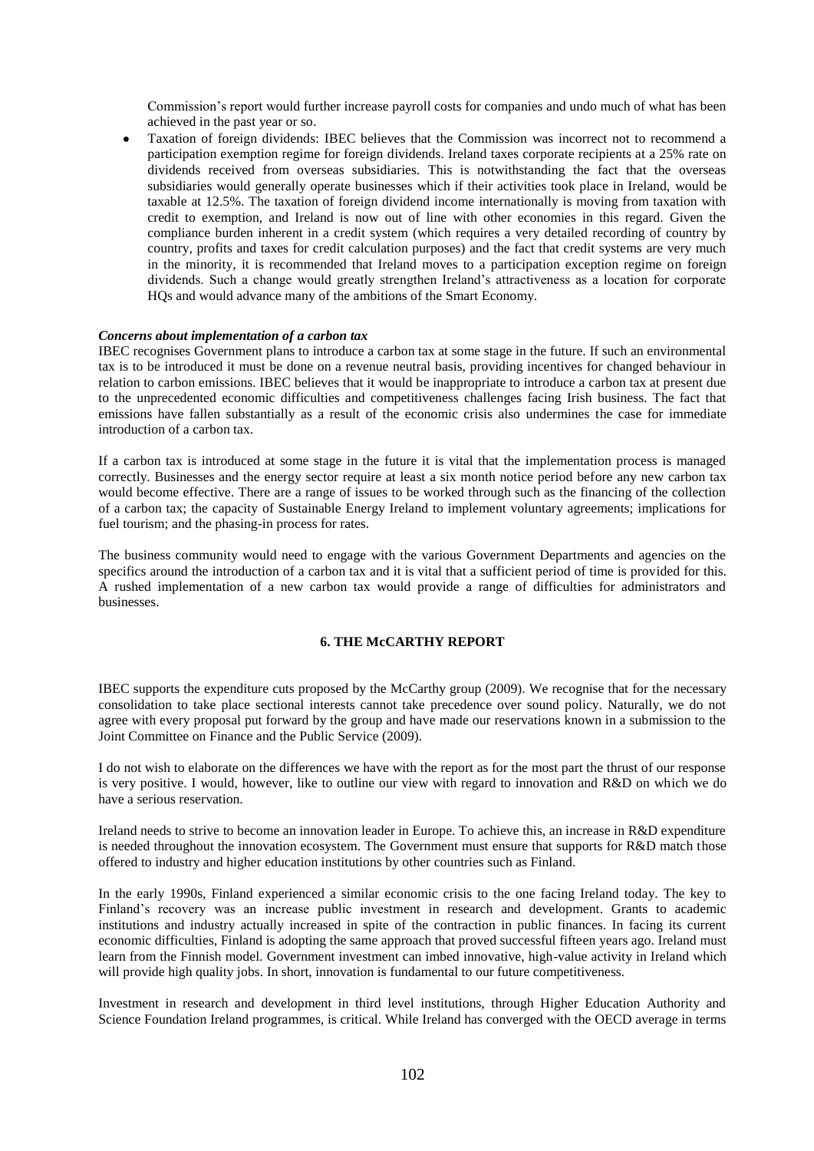Commission"s report would further increase payroll costs for companies and undo much of what has been achieved in the past year or so.

Taxation of foreign dividends: IBEC believes that the Commission was incorrect not to recommend a participation exemption regime for foreign dividends. Ireland taxes corporate recipients at a 25% rate on dividends received from overseas subsidiaries. This is notwithstanding the fact that the overseas subsidiaries would generally operate businesses which if their activities took place in Ireland, would be taxable at 12.5%. The taxation of foreign dividend income internationally is moving from taxation with credit to exemption, and Ireland is now out of line with other economies in this regard. Given the compliance burden inherent in a credit system (which requires a very detailed recording of country by country, profits and taxes for credit calculation purposes) and the fact that credit systems are very much in the minority, it is recommended that Ireland moves to a participation exception regime on foreign dividends. Such a change would greatly strengthen Ireland"s attractiveness as a location for corporate HQs and would advance many of the ambitions of the Smart Economy.

### *Concerns about implementation of a carbon tax*

IBEC recognises Government plans to introduce a carbon tax at some stage in the future. If such an environmental tax is to be introduced it must be done on a revenue neutral basis, providing incentives for changed behaviour in relation to carbon emissions. IBEC believes that it would be inappropriate to introduce a carbon tax at present due to the unprecedented economic difficulties and competitiveness challenges facing Irish business. The fact that emissions have fallen substantially as a result of the economic crisis also undermines the case for immediate introduction of a carbon tax.

If a carbon tax is introduced at some stage in the future it is vital that the implementation process is managed correctly. Businesses and the energy sector require at least a six month notice period before any new carbon tax would become effective. There are a range of issues to be worked through such as the financing of the collection of a carbon tax; the capacity of Sustainable Energy Ireland to implement voluntary agreements; implications for fuel tourism; and the phasing-in process for rates.

The business community would need to engage with the various Government Departments and agencies on the specifics around the introduction of a carbon tax and it is vital that a sufficient period of time is provided for this. A rushed implementation of a new carbon tax would provide a range of difficulties for administrators and businesses.

# **6. THE McCARTHY REPORT**

IBEC supports the expenditure cuts proposed by the McCarthy group (2009). We recognise that for the necessary consolidation to take place sectional interests cannot take precedence over sound policy. Naturally, we do not agree with every proposal put forward by the group and have made our reservations known in a submission to the Joint Committee on Finance and the Public Service (2009).

I do not wish to elaborate on the differences we have with the report as for the most part the thrust of our response is very positive. I would, however, like to outline our view with regard to innovation and R&D on which we do have a serious reservation.

Ireland needs to strive to become an innovation leader in Europe. To achieve this, an increase in R&D expenditure is needed throughout the innovation ecosystem. The Government must ensure that supports for R&D match those offered to industry and higher education institutions by other countries such as Finland.

In the early 1990s, Finland experienced a similar economic crisis to the one facing Ireland today. The key to Finland"s recovery was an increase public investment in research and development. Grants to academic institutions and industry actually increased in spite of the contraction in public finances. In facing its current economic difficulties, Finland is adopting the same approach that proved successful fifteen years ago. Ireland must learn from the Finnish model. Government investment can imbed innovative, high-value activity in Ireland which will provide high quality jobs. In short, innovation is fundamental to our future competitiveness.

Investment in research and development in third level institutions, through Higher Education Authority and Science Foundation Ireland programmes, is critical. While Ireland has converged with the OECD average in terms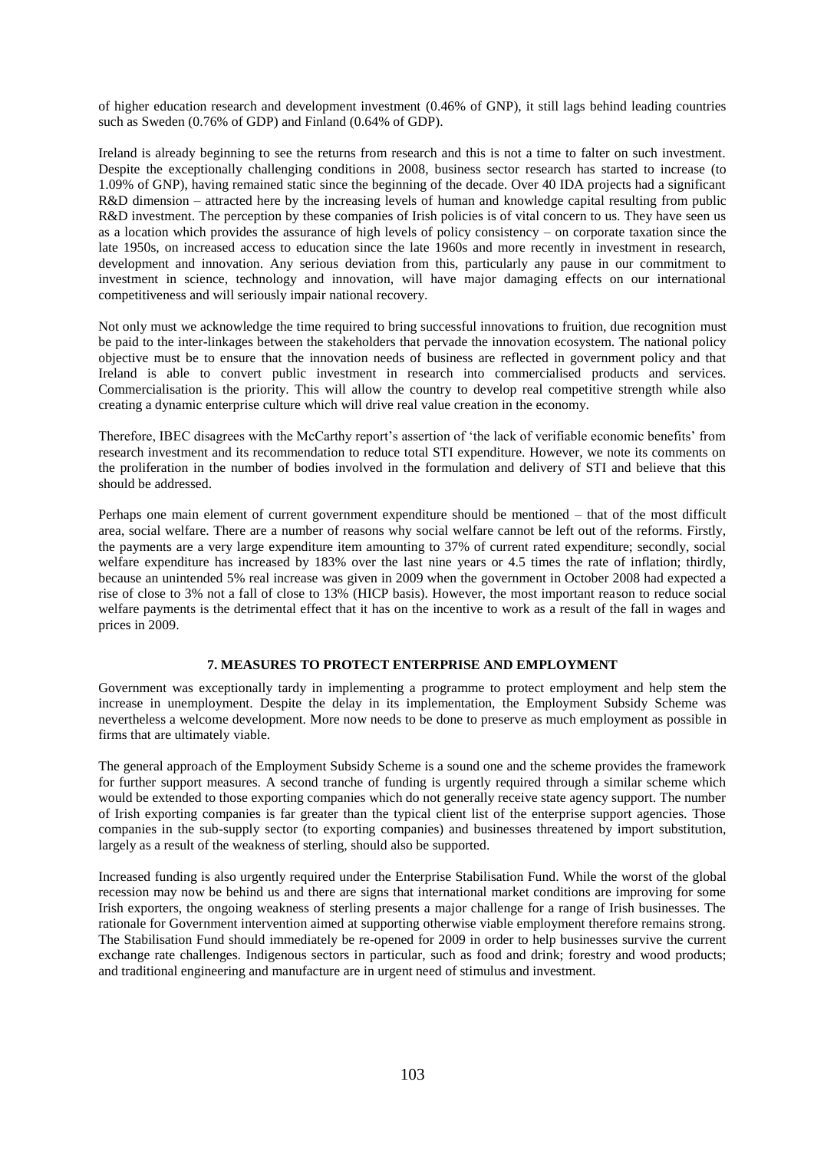of higher education research and development investment (0.46% of GNP), it still lags behind leading countries such as Sweden (0.76% of GDP) and Finland (0.64% of GDP).

Ireland is already beginning to see the returns from research and this is not a time to falter on such investment. Despite the exceptionally challenging conditions in 2008, business sector research has started to increase (to 1.09% of GNP), having remained static since the beginning of the decade. Over 40 IDA projects had a significant R&D dimension – attracted here by the increasing levels of human and knowledge capital resulting from public R&D investment. The perception by these companies of Irish policies is of vital concern to us. They have seen us as a location which provides the assurance of high levels of policy consistency – on corporate taxation since the late 1950s, on increased access to education since the late 1960s and more recently in investment in research, development and innovation. Any serious deviation from this, particularly any pause in our commitment to investment in science, technology and innovation, will have major damaging effects on our international competitiveness and will seriously impair national recovery.

Not only must we acknowledge the time required to bring successful innovations to fruition, due recognition must be paid to the inter-linkages between the stakeholders that pervade the innovation ecosystem. The national policy objective must be to ensure that the innovation needs of business are reflected in government policy and that Ireland is able to convert public investment in research into commercialised products and services. Commercialisation is the priority. This will allow the country to develop real competitive strength while also creating a dynamic enterprise culture which will drive real value creation in the economy.

Therefore, IBEC disagrees with the McCarthy report's assertion of 'the lack of verifiable economic benefits' from research investment and its recommendation to reduce total STI expenditure. However, we note its comments on the proliferation in the number of bodies involved in the formulation and delivery of STI and believe that this should be addressed.

Perhaps one main element of current government expenditure should be mentioned – that of the most difficult area, social welfare. There are a number of reasons why social welfare cannot be left out of the reforms. Firstly, the payments are a very large expenditure item amounting to 37% of current rated expenditure; secondly, social welfare expenditure has increased by 183% over the last nine years or 4.5 times the rate of inflation; thirdly, because an unintended 5% real increase was given in 2009 when the government in October 2008 had expected a rise of close to 3% not a fall of close to 13% (HICP basis). However, the most important reason to reduce social welfare payments is the detrimental effect that it has on the incentive to work as a result of the fall in wages and prices in 2009.

## **7. MEASURES TO PROTECT ENTERPRISE AND EMPLOYMENT**

Government was exceptionally tardy in implementing a programme to protect employment and help stem the increase in unemployment. Despite the delay in its implementation, the Employment Subsidy Scheme was nevertheless a welcome development. More now needs to be done to preserve as much employment as possible in firms that are ultimately viable.

The general approach of the Employment Subsidy Scheme is a sound one and the scheme provides the framework for further support measures. A second tranche of funding is urgently required through a similar scheme which would be extended to those exporting companies which do not generally receive state agency support. The number of Irish exporting companies is far greater than the typical client list of the enterprise support agencies. Those companies in the sub-supply sector (to exporting companies) and businesses threatened by import substitution, largely as a result of the weakness of sterling, should also be supported.

Increased funding is also urgently required under the Enterprise Stabilisation Fund. While the worst of the global recession may now be behind us and there are signs that international market conditions are improving for some Irish exporters, the ongoing weakness of sterling presents a major challenge for a range of Irish businesses. The rationale for Government intervention aimed at supporting otherwise viable employment therefore remains strong. The Stabilisation Fund should immediately be re-opened for 2009 in order to help businesses survive the current exchange rate challenges. Indigenous sectors in particular, such as food and drink; forestry and wood products; and traditional engineering and manufacture are in urgent need of stimulus and investment.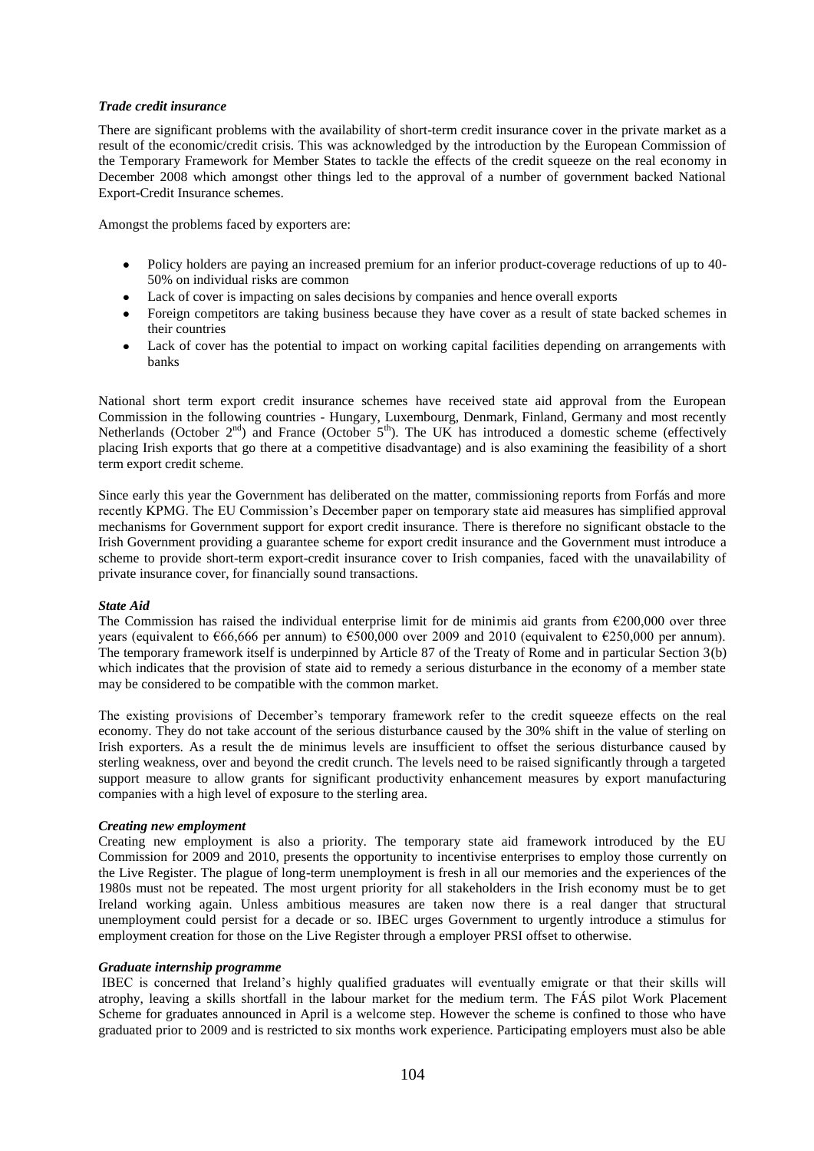## *Trade credit insurance*

There are significant problems with the availability of short-term credit insurance cover in the private market as a result of the economic/credit crisis. This was acknowledged by the introduction by the European Commission of the Temporary Framework for Member States to tackle the effects of the credit squeeze on the real economy in December 2008 which amongst other things led to the approval of a number of government backed National Export-Credit Insurance schemes.

Amongst the problems faced by exporters are:

- Policy holders are paying an increased premium for an inferior product-coverage reductions of up to 40- 50% on individual risks are common
- Lack of cover is impacting on sales decisions by companies and hence overall exports
- Foreign competitors are taking business because they have cover as a result of state backed schemes in their countries
- Lack of cover has the potential to impact on working capital facilities depending on arrangements with  $\bullet$ banks

National short term export credit insurance schemes have received state aid approval from the European Commission in the following countries - Hungary, Luxembourg, Denmark, Finland, Germany and most recently Netherlands (October  $2<sup>nd</sup>$ ) and France (October  $5<sup>th</sup>$ ). The UK has introduced a domestic scheme (effectively placing Irish exports that go there at a competitive disadvantage) and is also examining the feasibility of a short term export credit scheme.

Since early this year the Government has deliberated on the matter, commissioning reports from Forfás and more recently KPMG. The EU Commission"s December paper on temporary state aid measures has simplified approval mechanisms for Government support for export credit insurance. There is therefore no significant obstacle to the Irish Government providing a guarantee scheme for export credit insurance and the Government must introduce a scheme to provide short-term export-credit insurance cover to Irish companies, faced with the unavailability of private insurance cover, for financially sound transactions.

### *State Aid*

The Commission has raised the individual enterprise limit for de minimis aid grants from  $\epsilon$ 200,000 over three years (equivalent to  $\epsilon$ 66,666 per annum) to  $\epsilon$ 500,000 over 2009 and 2010 (equivalent to  $\epsilon$ 250,000 per annum). The temporary framework itself is underpinned by Article 87 of the Treaty of Rome and in particular Section 3(b) which indicates that the provision of state aid to remedy a serious disturbance in the economy of a member state may be considered to be compatible with the common market.

The existing provisions of December's temporary framework refer to the credit squeeze effects on the real economy. They do not take account of the serious disturbance caused by the 30% shift in the value of sterling on Irish exporters. As a result the de minimus levels are insufficient to offset the serious disturbance caused by sterling weakness, over and beyond the credit crunch. The levels need to be raised significantly through a targeted support measure to allow grants for significant productivity enhancement measures by export manufacturing companies with a high level of exposure to the sterling area.

### *Creating new employment*

Creating new employment is also a priority. The temporary state aid framework introduced by the EU Commission for 2009 and 2010, presents the opportunity to incentivise enterprises to employ those currently on the Live Register. The plague of long-term unemployment is fresh in all our memories and the experiences of the 1980s must not be repeated. The most urgent priority for all stakeholders in the Irish economy must be to get Ireland working again. Unless ambitious measures are taken now there is a real danger that structural unemployment could persist for a decade or so. IBEC urges Government to urgently introduce a stimulus for employment creation for those on the Live Register through a employer PRSI offset to otherwise.

### *Graduate internship programme*

IBEC is concerned that Ireland"s highly qualified graduates will eventually emigrate or that their skills will atrophy, leaving a skills shortfall in the labour market for the medium term. The FÁS pilot Work Placement Scheme for graduates announced in April is a welcome step. However the scheme is confined to those who have graduated prior to 2009 and is restricted to six months work experience. Participating employers must also be able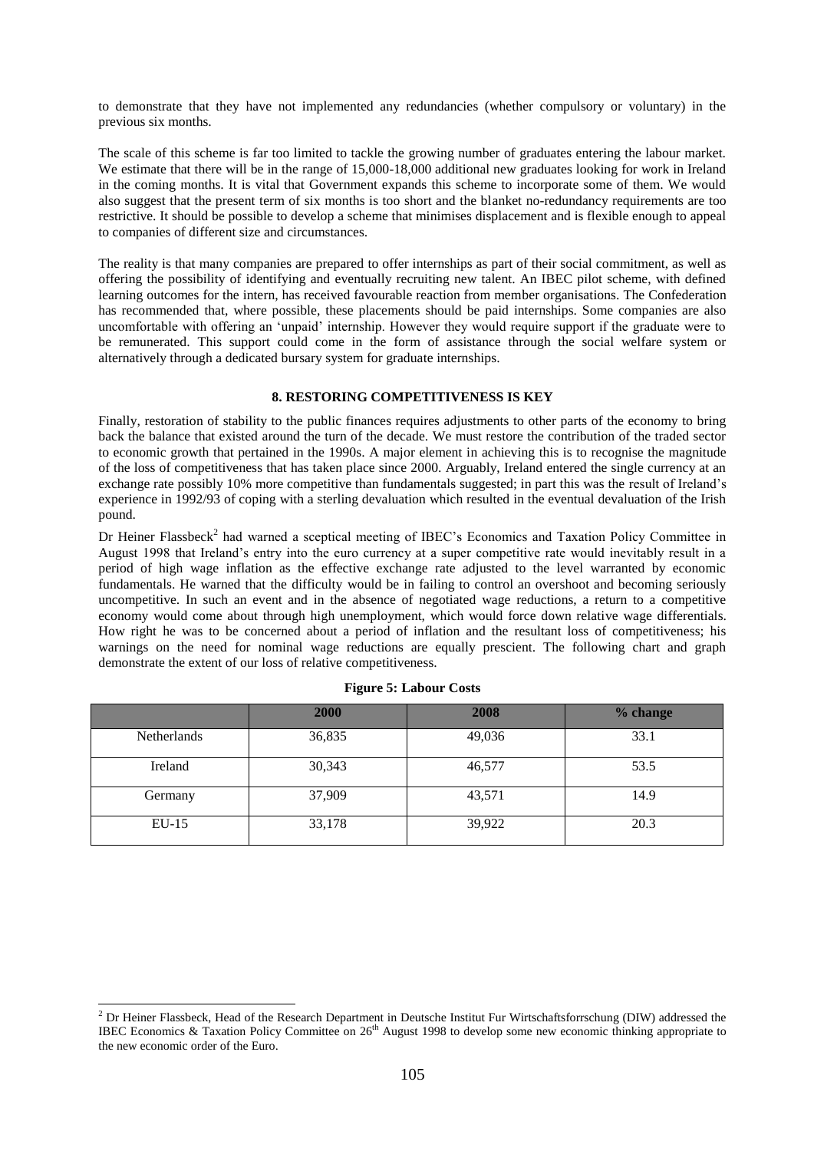to demonstrate that they have not implemented any redundancies (whether compulsory or voluntary) in the previous six months.

The scale of this scheme is far too limited to tackle the growing number of graduates entering the labour market. We estimate that there will be in the range of 15,000-18,000 additional new graduates looking for work in Ireland in the coming months. It is vital that Government expands this scheme to incorporate some of them. We would also suggest that the present term of six months is too short and the blanket no-redundancy requirements are too restrictive. It should be possible to develop a scheme that minimises displacement and is flexible enough to appeal to companies of different size and circumstances.

The reality is that many companies are prepared to offer internships as part of their social commitment, as well as offering the possibility of identifying and eventually recruiting new talent. An IBEC pilot scheme, with defined learning outcomes for the intern, has received favourable reaction from member organisations. The Confederation has recommended that, where possible, these placements should be paid internships. Some companies are also uncomfortable with offering an "unpaid" internship. However they would require support if the graduate were to be remunerated. This support could come in the form of assistance through the social welfare system or alternatively through a dedicated bursary system for graduate internships.

## **8. RESTORING COMPETITIVENESS IS KEY**

Finally, restoration of stability to the public finances requires adjustments to other parts of the economy to bring back the balance that existed around the turn of the decade. We must restore the contribution of the traded sector to economic growth that pertained in the 1990s. A major element in achieving this is to recognise the magnitude of the loss of competitiveness that has taken place since 2000. Arguably, Ireland entered the single currency at an exchange rate possibly 10% more competitive than fundamentals suggested; in part this was the result of Ireland"s experience in 1992/93 of coping with a sterling devaluation which resulted in the eventual devaluation of the Irish pound.

Dr Heiner Flassbeck<sup>2</sup> had warned a sceptical meeting of IBEC's Economics and Taxation Policy Committee in August 1998 that Ireland"s entry into the euro currency at a super competitive rate would inevitably result in a period of high wage inflation as the effective exchange rate adjusted to the level warranted by economic fundamentals. He warned that the difficulty would be in failing to control an overshoot and becoming seriously uncompetitive. In such an event and in the absence of negotiated wage reductions, a return to a competitive economy would come about through high unemployment, which would force down relative wage differentials. How right he was to be concerned about a period of inflation and the resultant loss of competitiveness; his warnings on the need for nominal wage reductions are equally prescient. The following chart and graph demonstrate the extent of our loss of relative competitiveness.

|             | 2000   | 2008   | % change |
|-------------|--------|--------|----------|
| Netherlands | 36,835 | 49,036 | 33.1     |
| Ireland     | 30,343 | 46,577 | 53.5     |
| Germany     | 37,909 | 43,571 | 14.9     |
| $EU-15$     | 33,178 | 39,922 | 20.3     |

| <b>Figure 5: Labour Costs</b> |  |  |
|-------------------------------|--|--|
|-------------------------------|--|--|

 $\overline{a}$ 

 $<sup>2</sup>$  Dr Heiner Flassbeck, Head of the Research Department in Deutsche Institut Fur Wirtschaftsforrschung (DIW) addressed the</sup> IBEC Economics & Taxation Policy Committee on  $26<sup>th</sup>$  August 1998 to develop some new economic thinking appropriate to the new economic order of the Euro.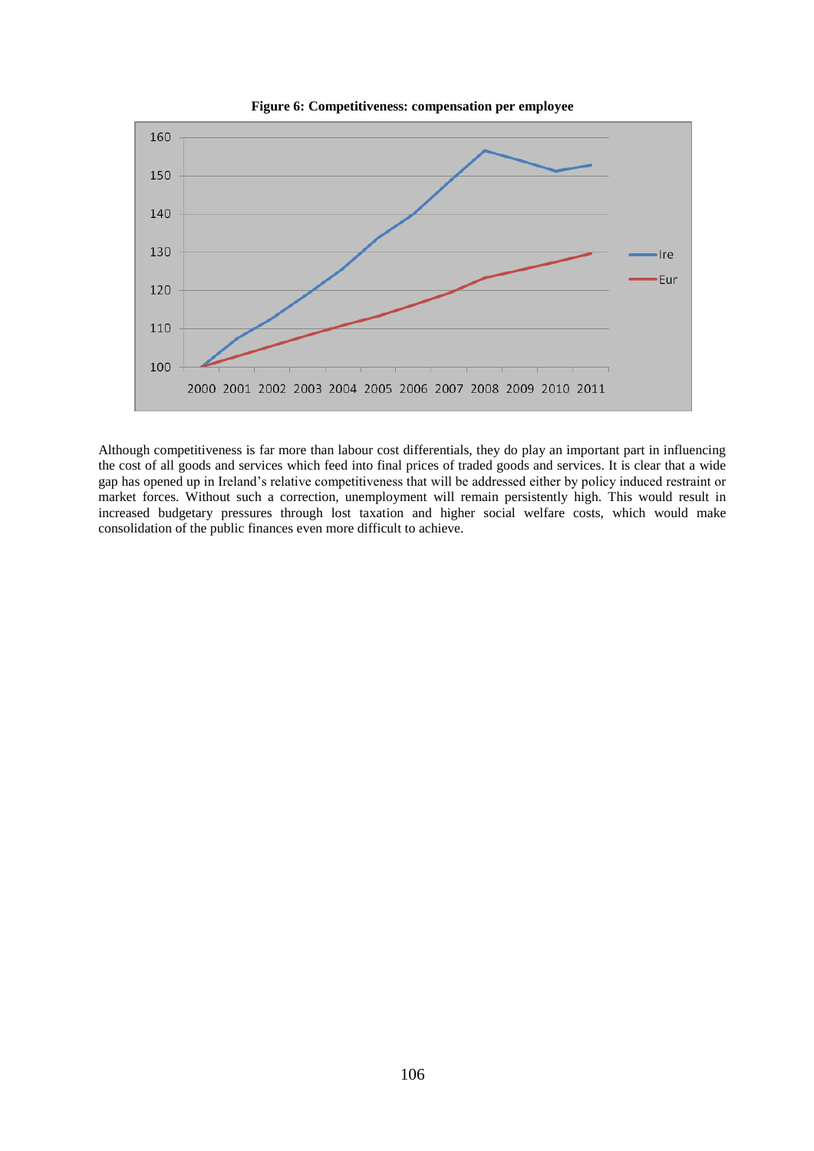



Although competitiveness is far more than labour cost differentials, they do play an important part in influencing the cost of all goods and services which feed into final prices of traded goods and services. It is clear that a wide gap has opened up in Ireland"s relative competitiveness that will be addressed either by policy induced restraint or market forces. Without such a correction, unemployment will remain persistently high. This would result in increased budgetary pressures through lost taxation and higher social welfare costs, which would make consolidation of the public finances even more difficult to achieve.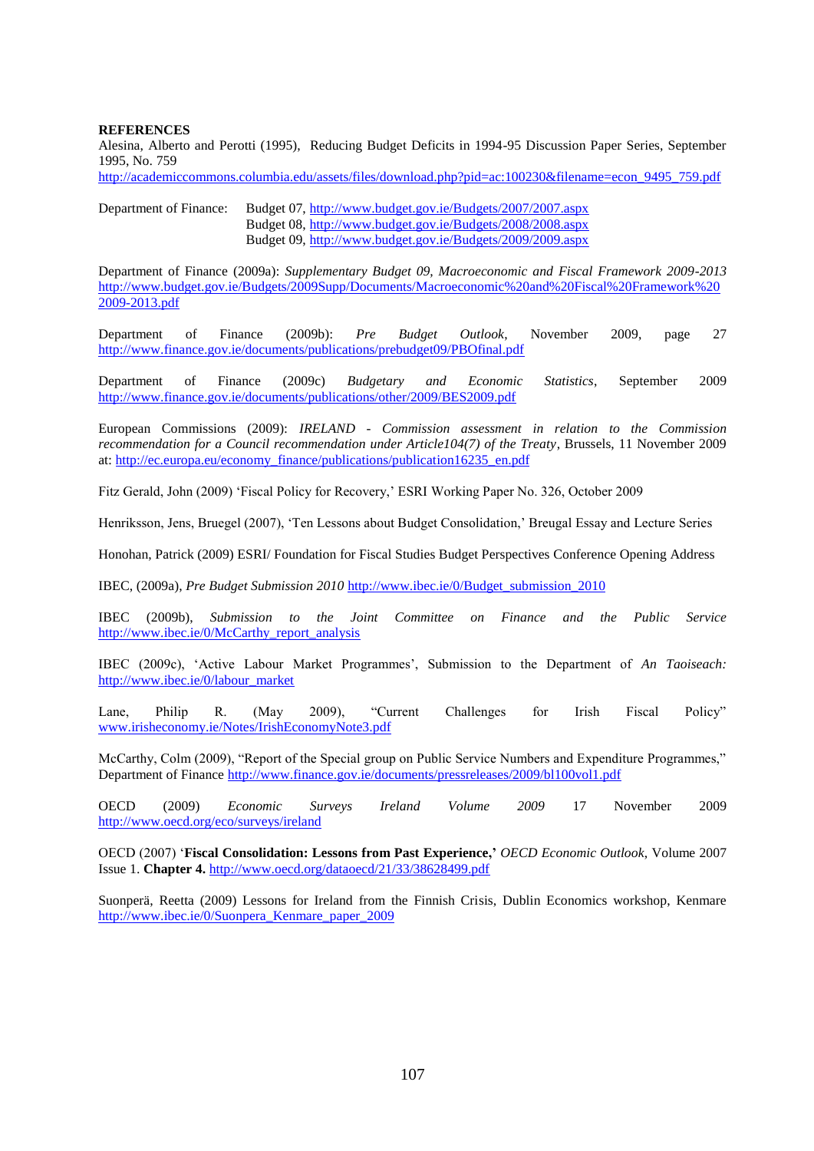## **REFERENCES**

Alesina, Alberto and Perotti (1995), Reducing Budget Deficits in 1994-95 Discussion Paper Series, September 1995, No. 759

[http://academiccommons.columbia.edu/assets/files/download.php?pid=ac:100230&filename=econ\\_9495\\_759.pdf](http://academiccommons.columbia.edu/assets/files/download.php?pid=ac:100230&filename=econ_9495_759.pdf)

Department of Finance: Budget 07, <http://www.budget.gov.ie/Budgets/2007/2007.aspx> Budget 08,<http://www.budget.gov.ie/Budgets/2008/2008.aspx> Budget 09,<http://www.budget.gov.ie/Budgets/2009/2009.aspx>

Department of Finance (2009a): *Supplementary Budget 09, Macroeconomic and Fiscal Framework 2009-2013*  [http://www.budget.gov.ie/Budgets/2009Supp/Documents/Macroeconomic%20and%20Fiscal%20Framework%20](http://www.budget.gov.ie/Budgets/2009Supp/Documents/Macroeconomic%20and%20Fiscal%20Framework%202009-2013.pdf) [2009-2013.pdf](http://www.budget.gov.ie/Budgets/2009Supp/Documents/Macroeconomic%20and%20Fiscal%20Framework%202009-2013.pdf)

Department of Finance (2009b): *Pre Budget Outlook*, November 2009, page 27 <http://www.finance.gov.ie/documents/publications/prebudget09/PBOfinal.pdf>

Department of Finance (2009c) *Budgetary and Economic Statistics*, September 2009 <http://www.finance.gov.ie/documents/publications/other/2009/BES2009.pdf>

European Commissions (2009): *IRELAND - Commission assessment in relation to the Commission recommendation for a Council recommendation under Article104(7) of the Treaty*, Brussels, 11 November 2009 at: [http://ec.europa.eu/economy\\_finance/publications/publication16235\\_en.pdf](http://ec.europa.eu/economy_finance/publications/publication16235_en.pdf)

Fitz Gerald, John (2009) "Fiscal Policy for Recovery," ESRI Working Paper No. 326, October 2009

Henriksson, Jens, Bruegel (2007), "Ten Lessons about Budget Consolidation," Breugal Essay and Lecture Series

Honohan, Patrick (2009) ESRI/ Foundation for Fiscal Studies Budget Perspectives Conference Opening Address

IBEC, (2009a), *Pre Budget Submission 2010* [http://www.ibec.ie/0/Budget\\_submission\\_2010](http://www.ibec.ie/0/Budget_submission_2010)

IBEC (2009b), *Submission to the Joint Committee on Finance and the Public Service* [http://www.ibec.ie/0/McCarthy\\_report\\_analysis](http://www.ibec.ie/0/McCarthy_report_analysis)

IBEC (2009c), "Active Labour Market Programmes", Submission to the Department of *An Taoiseach:*  [http://www.ibec.ie/0/labour\\_market](http://www.ibec.ie/0/labour_market)

Lane, Philip R. (May 2009), "Current Challenges for Irish Fiscal Policy" [www.irisheconomy.ie/Notes/IrishEconomyNote3.pdf](http://www.irisheconomy.ie/Notes/IrishEconomyNote3.pdf)

McCarthy, Colm (2009), "Report of the Special group on Public Service Numbers and Expenditure Programmes," Department of Finance<http://www.finance.gov.ie/documents/pressreleases/2009/bl100vol1.pdf>

OECD (2009) *Economic Surveys Ireland Volume 2009* 17 November 2009 <http://www.oecd.org/eco/surveys/ireland>

OECD (2007) "**Fiscal Consolidation: Lessons from Past Experience,'** *OECD Economic Outlook*, Volume 2007 Issue 1. **Chapter 4.** <http://www.oecd.org/dataoecd/21/33/38628499.pdf>

Suonperä, Reetta (2009) Lessons for Ireland from the Finnish Crisis, Dublin Economics workshop, Kenmare [http://www.ibec.ie/0/Suonpera\\_Kenmare\\_paper\\_2009](http://www.ibec.ie/0/Suonpera_Kenmare_paper_2009)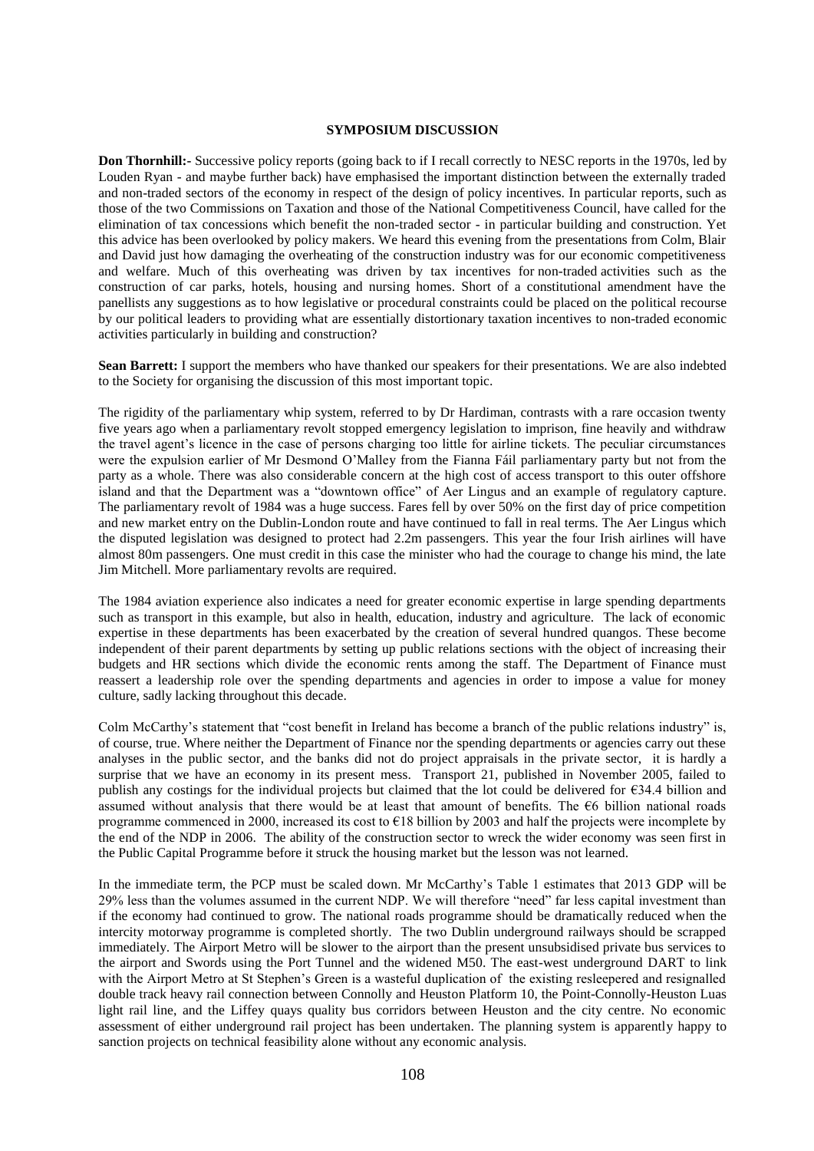#### **SYMPOSIUM DISCUSSION**

**Don Thornhill:-** Successive policy reports (going back to if I recall correctly to NESC reports in the 1970s, led by Louden Ryan - and maybe further back) have emphasised the important distinction between the externally traded and non-traded sectors of the economy in respect of the design of policy incentives. In particular reports, such as those of the two Commissions on Taxation and those of the National Competitiveness Council, have called for the elimination of tax concessions which benefit the non-traded sector - in particular building and construction. Yet this advice has been overlooked by policy makers. We heard this evening from the presentations from Colm, Blair and David just how damaging the overheating of the construction industry was for our economic competitiveness and welfare. Much of this overheating was driven by tax incentives for non-traded activities such as the construction of car parks, hotels, housing and nursing homes. Short of a constitutional amendment have the panellists any suggestions as to how legislative or procedural constraints could be placed on the political recourse by our political leaders to providing what are essentially distortionary taxation incentives to non-traded economic activities particularly in building and construction?

**Sean Barrett:** I support the members who have thanked our speakers for their presentations. We are also indebted to the Society for organising the discussion of this most important topic.

The rigidity of the parliamentary whip system, referred to by Dr Hardiman, contrasts with a rare occasion twenty five years ago when a parliamentary revolt stopped emergency legislation to imprison, fine heavily and withdraw the travel agent"s licence in the case of persons charging too little for airline tickets. The peculiar circumstances were the expulsion earlier of Mr Desmond O"Malley from the Fianna Fáil parliamentary party but not from the party as a whole. There was also considerable concern at the high cost of access transport to this outer offshore island and that the Department was a "downtown office" of Aer Lingus and an example of regulatory capture. The parliamentary revolt of 1984 was a huge success. Fares fell by over 50% on the first day of price competition and new market entry on the Dublin-London route and have continued to fall in real terms. The Aer Lingus which the disputed legislation was designed to protect had 2.2m passengers. This year the four Irish airlines will have almost 80m passengers. One must credit in this case the minister who had the courage to change his mind, the late Jim Mitchell. More parliamentary revolts are required.

The 1984 aviation experience also indicates a need for greater economic expertise in large spending departments such as transport in this example, but also in health, education, industry and agriculture. The lack of economic expertise in these departments has been exacerbated by the creation of several hundred quangos. These become independent of their parent departments by setting up public relations sections with the object of increasing their budgets and HR sections which divide the economic rents among the staff. The Department of Finance must reassert a leadership role over the spending departments and agencies in order to impose a value for money culture, sadly lacking throughout this decade.

Colm McCarthy"s statement that "cost benefit in Ireland has become a branch of the public relations industry" is, of course, true. Where neither the Department of Finance nor the spending departments or agencies carry out these analyses in the public sector, and the banks did not do project appraisals in the private sector, it is hardly a surprise that we have an economy in its present mess. Transport 21, published in November 2005, failed to publish any costings for the individual projects but claimed that the lot could be delivered for  $\epsilon$ 34.4 billion and assumed without analysis that there would be at least that amount of benefits. The  $\epsilon$ 6 billion national roads programme commenced in 2000, increased its cost to €18 billion by 2003 and half the projects were incomplete by the end of the NDP in 2006. The ability of the construction sector to wreck the wider economy was seen first in the Public Capital Programme before it struck the housing market but the lesson was not learned.

In the immediate term, the PCP must be scaled down. Mr McCarthy"s Table 1 estimates that 2013 GDP will be 29% less than the volumes assumed in the current NDP. We will therefore "need" far less capital investment than if the economy had continued to grow. The national roads programme should be dramatically reduced when the intercity motorway programme is completed shortly. The two Dublin underground railways should be scrapped immediately. The Airport Metro will be slower to the airport than the present unsubsidised private bus services to the airport and Swords using the Port Tunnel and the widened M50. The east-west underground DART to link with the Airport Metro at St Stephen's Green is a wasteful duplication of the existing resleepered and resignalled double track heavy rail connection between Connolly and Heuston Platform 10, the Point-Connolly-Heuston Luas light rail line, and the Liffey quays quality bus corridors between Heuston and the city centre. No economic assessment of either underground rail project has been undertaken. The planning system is apparently happy to sanction projects on technical feasibility alone without any economic analysis.